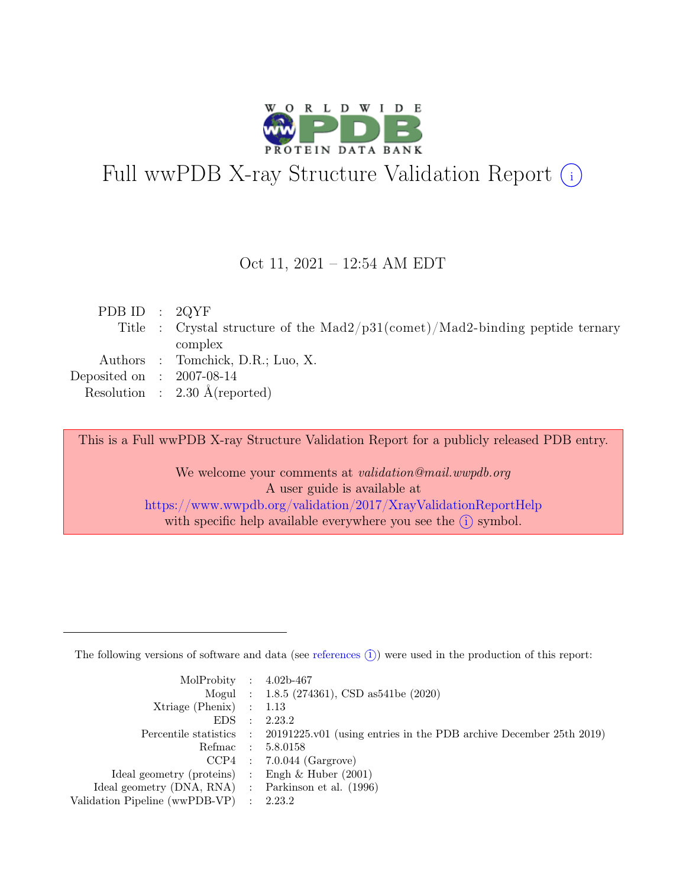

# Full wwPDB X-ray Structure Validation Report  $(i)$

#### Oct 11, 2021 – 12:54 AM EDT

| PDB ID : $2QYF$             |                                                                                  |
|-----------------------------|----------------------------------------------------------------------------------|
|                             | Title : Crystal structure of the $Mad2/p31$ (comet)/Mad2-binding peptide ternary |
|                             | complex                                                                          |
|                             | Authors : Tomchick, D.R.; Luo, X.                                                |
| Deposited on : $2007-08-14$ |                                                                                  |
|                             | Resolution : $2.30 \text{ Å}$ (reported)                                         |

This is a Full wwPDB X-ray Structure Validation Report for a publicly released PDB entry.

We welcome your comments at validation@mail.wwpdb.org A user guide is available at <https://www.wwpdb.org/validation/2017/XrayValidationReportHelp> with specific help available everywhere you see the  $(i)$  symbol.

The following versions of software and data (see [references](https://www.wwpdb.org/validation/2017/XrayValidationReportHelp#references)  $(i)$ ) were used in the production of this report:

| MolProbity : $4.02b-467$                            |                                                                                            |
|-----------------------------------------------------|--------------------------------------------------------------------------------------------|
|                                                     | Mogul : 1.8.5 (274361), CSD as 541be (2020)                                                |
| $Xtriangle (Phenix)$ : 1.13                         |                                                                                            |
| $EDS$ :                                             | 2.23.2                                                                                     |
|                                                     | Percentile statistics : 20191225.v01 (using entries in the PDB archive December 25th 2019) |
| Refmac : 5.8.0158                                   |                                                                                            |
|                                                     | $CCP4$ : 7.0.044 (Gargrove)                                                                |
| Ideal geometry (proteins) : Engh $\&$ Huber (2001)  |                                                                                            |
| Ideal geometry (DNA, RNA) : Parkinson et al. (1996) |                                                                                            |
| Validation Pipeline (wwPDB-VP) : 2.23.2             |                                                                                            |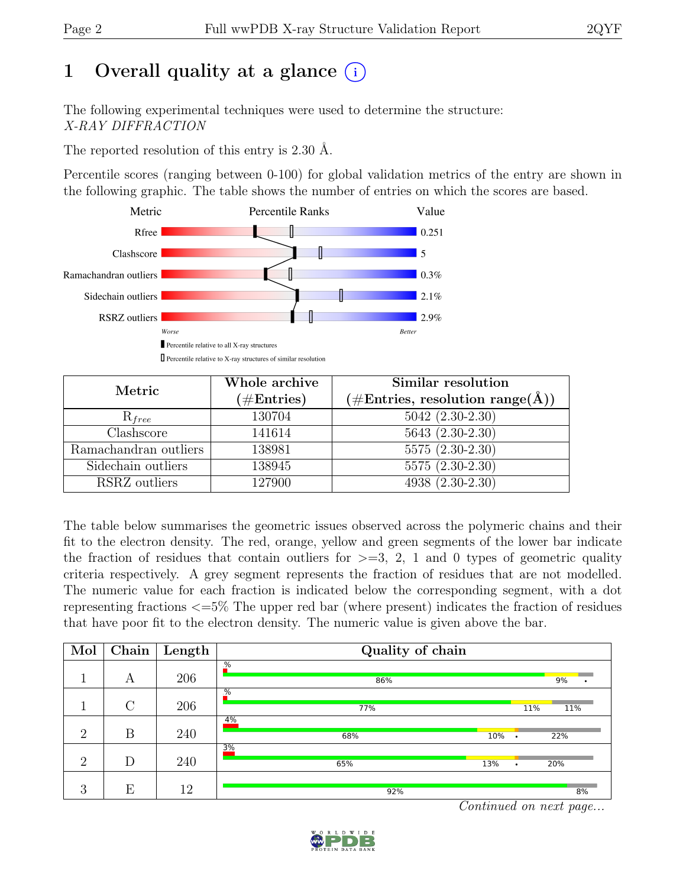# 1 Overall quality at a glance  $(i)$

The following experimental techniques were used to determine the structure: X-RAY DIFFRACTION

The reported resolution of this entry is 2.30 Å.

Percentile scores (ranging between 0-100) for global validation metrics of the entry are shown in the following graphic. The table shows the number of entries on which the scores are based.



| Metric                | Whole archive<br>$(\#Entries)$ | Similar resolution<br>$(\# \text{Entries}, \text{ resolution } \text{range}(\AA))$ |  |  |
|-----------------------|--------------------------------|------------------------------------------------------------------------------------|--|--|
| $R_{free}$            | 130704                         | $5042 (2.30-2.30)$                                                                 |  |  |
| Clashscore            | 141614                         | $5643(2.30-2.30)$                                                                  |  |  |
| Ramachandran outliers | 138981                         | $5575(2.30-2.30)$                                                                  |  |  |
| Sidechain outliers    | 138945                         | $5575(2.30-2.30)$                                                                  |  |  |
| RSRZ outliers         | 127900                         | 4938 (2.30-2.30)                                                                   |  |  |

The table below summarises the geometric issues observed across the polymeric chains and their fit to the electron density. The red, orange, yellow and green segments of the lower bar indicate the fraction of residues that contain outliers for  $\geq$ =3, 2, 1 and 0 types of geometric quality criteria respectively. A grey segment represents the fraction of residues that are not modelled. The numeric value for each fraction is indicated below the corresponding segment, with a dot representing fractions <=5% The upper red bar (where present) indicates the fraction of residues that have poor fit to the electron density. The numeric value is given above the bar.

| Mol            | Chain   | $\overline{\text{Length}}$ | Quality of chain     |               |     |  |
|----------------|---------|----------------------------|----------------------|---------------|-----|--|
|                | А       | 206                        | %<br>86%             |               | 9%  |  |
|                | $\rm C$ | 206                        | %<br>77%             | 11%           | 11% |  |
| $\overline{2}$ | B       | 240                        | 4%<br>10%<br>68%     | $\bullet$     | 22% |  |
| $\overline{2}$ | D       | 240                        | 3%<br>13%<br>65%     | $\bullet$     | 20% |  |
| 3              | Ε       | 12                         | 92%<br>$\sim$ $\sim$ | $\sim$ $\sim$ | 8%  |  |

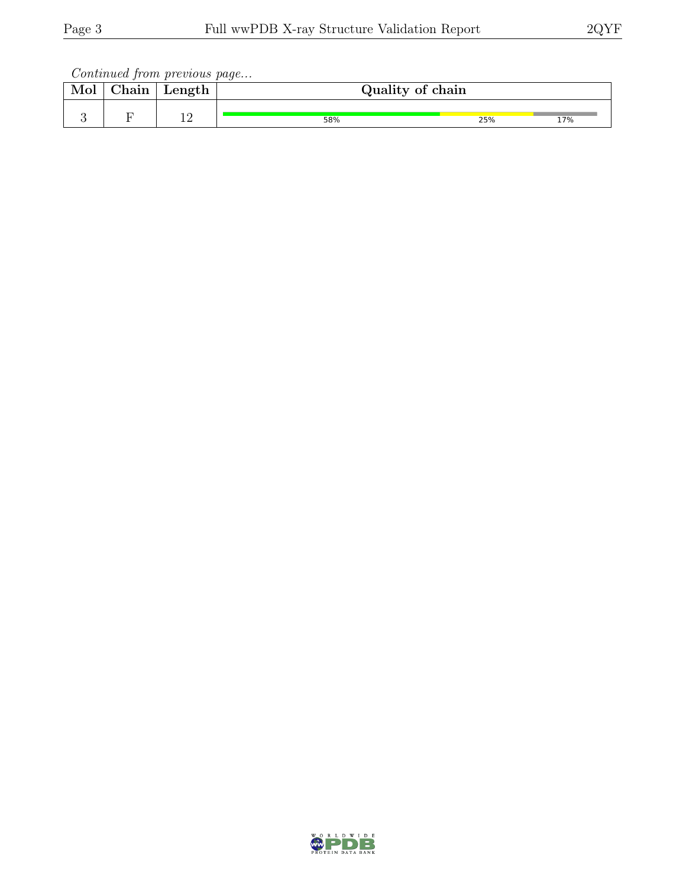Continued from previous page...

| Mol | ${\rm Chain}$ | Length    | Quality of chain |     |     |
|-----|---------------|-----------|------------------|-----|-----|
|     |               | 1 ຕ<br>∸∸ | 58%              | 25% | 17% |

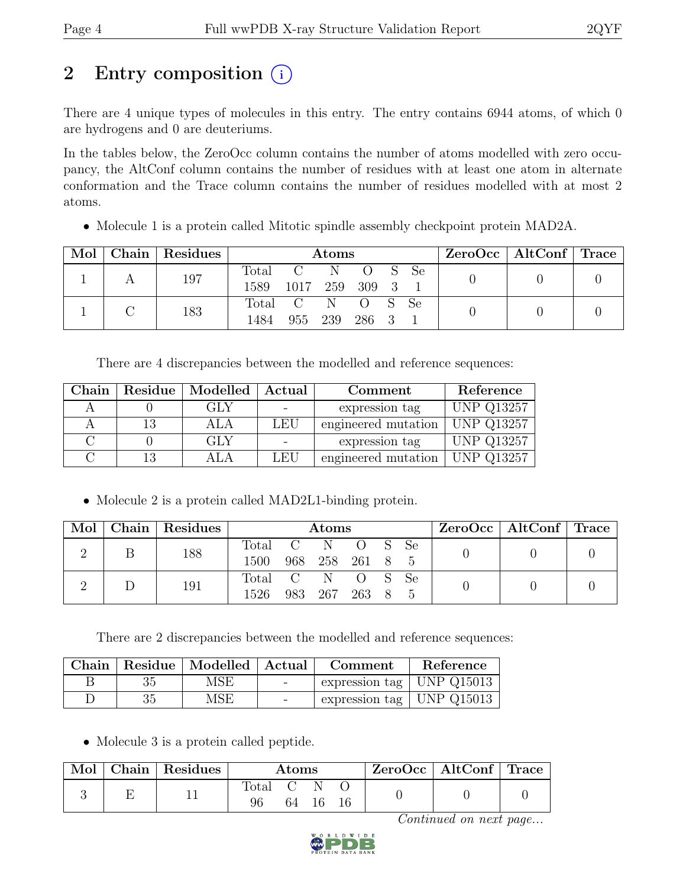# 2 Entry composition (i)

There are 4 unique types of molecules in this entry. The entry contains 6944 atoms, of which 0 are hydrogens and 0 are deuteriums.

In the tables below, the ZeroOcc column contains the number of atoms modelled with zero occupancy, the AltConf column contains the number of residues with at least one atom in alternate conformation and the Trace column contains the number of residues modelled with at most 2 atoms.

• Molecule 1 is a protein called Mitotic spindle assembly checkpoint protein MAD2A.

| Mol | Chain   Residues | <b>Atoms</b>      |                |         |                           |  |               | ZeroOcc   AltConf   Trace |  |
|-----|------------------|-------------------|----------------|---------|---------------------------|--|---------------|---------------------------|--|
|     | 197              | Total<br>1589     | 1017 259 309 3 | $C = N$ | $\overline{O}$ S          |  | <sub>Se</sub> |                           |  |
|     | 183              | Total C N<br>1484 | 955            | - 239   | $\overline{O}$ S<br>286 3 |  | - Se          |                           |  |

There are 4 discrepancies between the modelled and reference sequences:

| Chain | Residue   Modelled | Actual     | Comment             | Reference         |
|-------|--------------------|------------|---------------------|-------------------|
|       | GLY                |            | expression tag      | <b>UNP Q13257</b> |
|       | ALA                | <b>LEU</b> | engineered mutation | UNP Q13257        |
|       | GLY                |            | expression tag      | <b>UNP Q13257</b> |
|       |                    | LEU        | engineered mutation | <b>UNP Q13257</b> |

• Molecule 2 is a protein called MAD2L1-binding protein.

|  | Mol   Chain   Residues | Atoms                                    |  |  |  |  |  | ZeroOcc   AltConf   Trace |  |
|--|------------------------|------------------------------------------|--|--|--|--|--|---------------------------|--|
|  | 188                    | Total C N O S Se<br>1500 968 258 261 8 5 |  |  |  |  |  |                           |  |
|  | 191                    | Total C N O S Se<br>1526 983 267 263 8 5 |  |  |  |  |  |                           |  |

There are 2 discrepancies between the modelled and reference sequences:

| Chain |    | $\Box$ Residue   Modelled   Actual |        | Comment                            | Reference |
|-------|----|------------------------------------|--------|------------------------------------|-----------|
|       | 35 | MSE                                | $\sim$ | $\ell$ expression tag   UNP Q15013 |           |
|       | 35 | MSE                                |        | expression tag   UNP $Q15013$      |           |

• Molecule 3 is a protein called peptide.

| Mol | $\vert$ Chain $\vert$ Residues $\vert$ | Atoms |      |  |  | $ZeroOcc \mid AltConf \mid Trace$ |  |
|-----|----------------------------------------|-------|------|--|--|-----------------------------------|--|
|     |                                        | Total | 64 — |  |  |                                   |  |

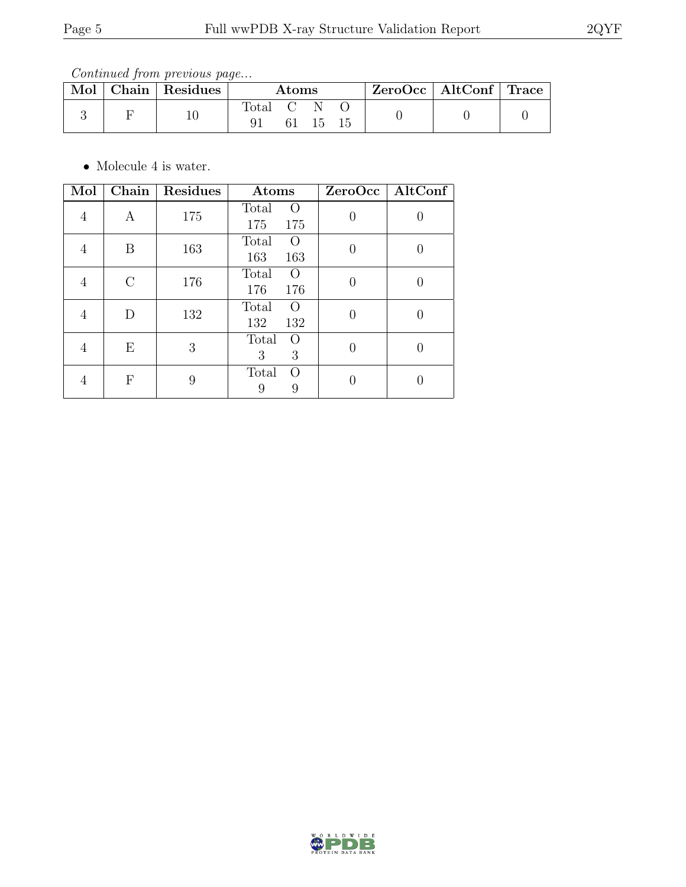Continued from previous page...

|  | Mol   Chain   Residues | $\rm{Atoms}$ |  |          |  | $ZeroOcc \mid AltConf \mid Trace$ |  |
|--|------------------------|--------------|--|----------|--|-----------------------------------|--|
|  | 10                     | Total        |  | -15 - 15 |  |                                   |  |

 $\bullet\,$  Molecule 4 is water.

| Mol | Chain         | Residues | Atoms                                   |          | $ZeroOcc \mid AltConf \mid$ |
|-----|---------------|----------|-----------------------------------------|----------|-----------------------------|
| 4   | А             | 175      | Total<br>$\Omega$<br>175<br>175         | $\Omega$ |                             |
| 4   | B             | 163      | Total<br>$\left( \right)$<br>163<br>163 | 0        |                             |
| 4   | $\mathcal{C}$ | 176      | Total<br>$\left( \right)$<br>176<br>176 |          |                             |
| 4   | D             | 132      | Total<br>$\Omega$<br>132<br>132         |          |                             |
| 4   | Ε             | 3        | Total<br>$\left( \right)$<br>3<br>3     |          |                             |
| 4   | F             | 9        | Total<br>$\Omega$<br>9<br>9             |          |                             |

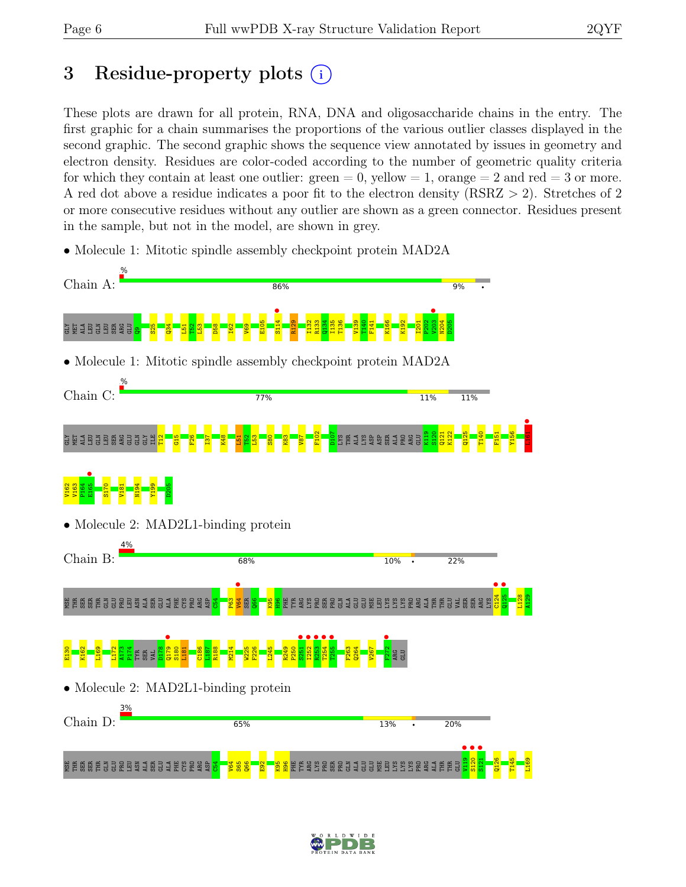# 3 Residue-property plots (i)

These plots are drawn for all protein, RNA, DNA and oligosaccharide chains in the entry. The first graphic for a chain summarises the proportions of the various outlier classes displayed in the second graphic. The second graphic shows the sequence view annotated by issues in geometry and electron density. Residues are color-coded according to the number of geometric quality criteria for which they contain at least one outlier:  $green = 0$ , yellow  $= 1$ , orange  $= 2$  and red  $= 3$  or more. A red dot above a residue indicates a poor fit to the electron density (RSRZ > 2). Stretches of 2 or more consecutive residues without any outlier are shown as a green connector. Residues present in the sample, but not in the model, are shown in grey.

• Molecule 1: Mitotic spindle assembly checkpoint protein MAD2A



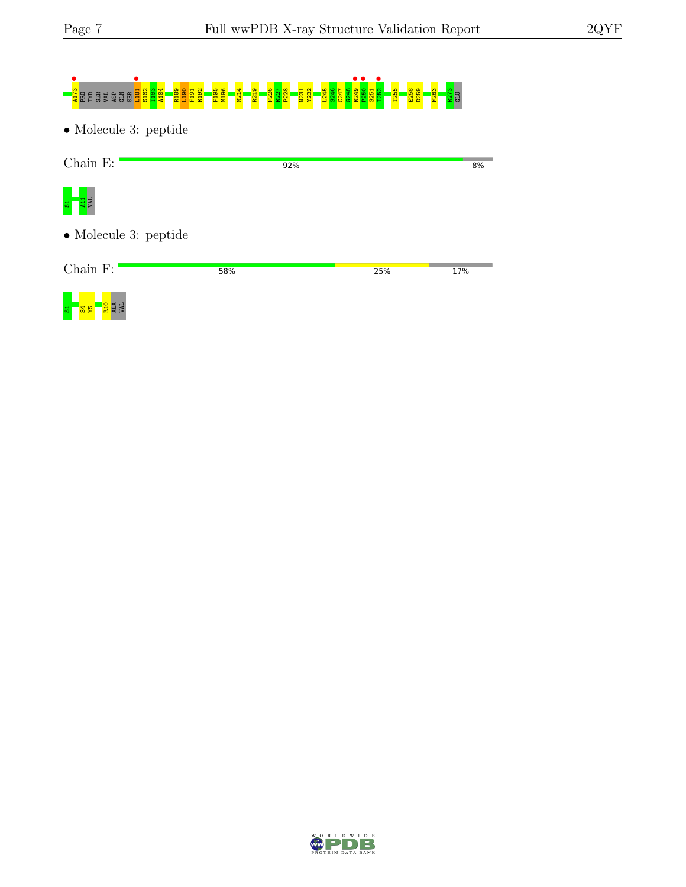# **A**<br>A185 ERS GENER EN SER LIGO FINANCIA EN SER LIGO FINANCIA EN SER LIGO FINANCIA EN SER LIGO FINANCIA EN SER LIG<br>LIGO FINANCIA EN SER LIGO FINANCIA EL SER LIGO FINANCIA EL SEBAJ EL SESTIMA EL SESTIMA EL SESTIMA EL SES

• Molecule 3: peptide

| $Chain E$ :                   | 92% |     | 8%  |
|-------------------------------|-----|-----|-----|
| $\frac{1}{\sqrt{2}}$          |     |     |     |
| $\bullet$ Molecule 3: peptide |     |     |     |
| $Chain F$ :                   | 58% | 25% | 17% |



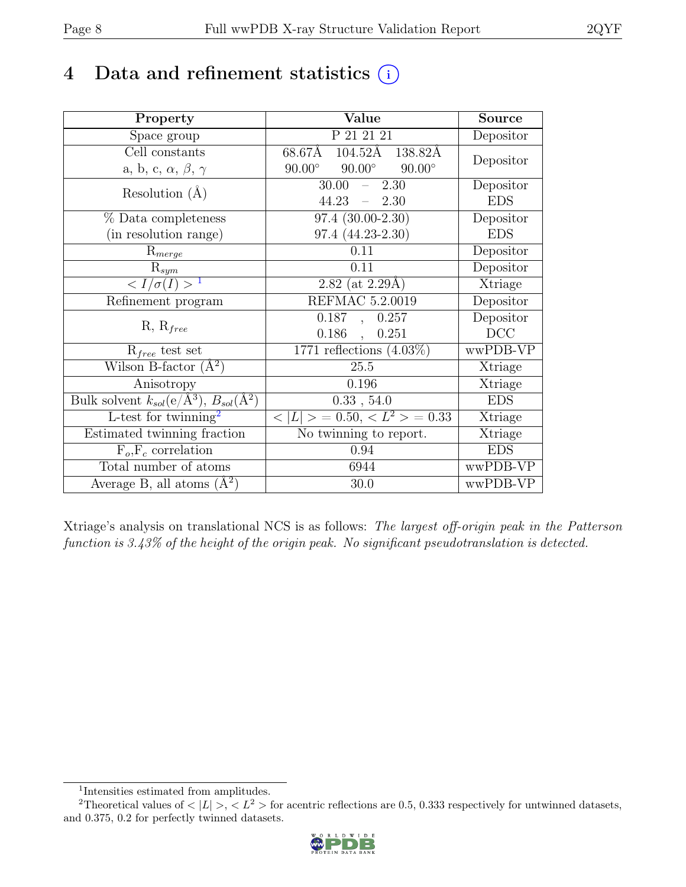# 4 Data and refinement statistics  $(i)$

| Property                                                             | Value                                           | <b>Source</b> |
|----------------------------------------------------------------------|-------------------------------------------------|---------------|
| Space group                                                          | P 21 21 21                                      | Depositor     |
| Cell constants                                                       | 68.67Å<br>$104.52\text{\AA}$<br>138.82Å         |               |
| a, b, c, $\alpha$ , $\beta$ , $\gamma$                               | $90.00^\circ$<br>$90.00^\circ$<br>$90.00^\circ$ | Depositor     |
| Resolution $(A)$                                                     | 30.00<br>2.30<br>$\equiv$                       | Depositor     |
|                                                                      | 44.23<br>$-2.30$                                | <b>EDS</b>    |
| % Data completeness                                                  | 97.4 (30.00-2.30)                               | Depositor     |
| (in resolution range)                                                | 97.4 (44.23-2.30)                               | <b>EDS</b>    |
| $R_{merge}$                                                          | 0.11                                            | Depositor     |
| $R_{sym}$                                                            | 0.11                                            | Depositor     |
| $\langle I/\sigma(I) \rangle^{-1}$                                   | 2.82 (at $2.29\text{\AA})$                      | Xtriage       |
| Refinement program                                                   | REFMAC 5.2.0019                                 | Depositor     |
|                                                                      | 0.187<br>0.257<br>$\overline{a}$                | Depositor     |
| $R, R_{free}$                                                        | 0.186<br>0.251<br>$\mathbf{L}$                  | DCC           |
| $R_{free}$ test set                                                  | $1771$ reflections $(4.03\%)$                   | wwPDB-VP      |
| Wilson B-factor $(A^2)$                                              | 25.5                                            | Xtriage       |
| Anisotropy                                                           | 0.196                                           | Xtriage       |
| Bulk solvent $k_{sol}(e/\mathring{A}^3)$ , $B_{sol}(\mathring{A}^2)$ | 0.33, 54.0                                      | <b>EDS</b>    |
| L-test for twinning <sup>2</sup>                                     | $< L >$ = 0.50, $< L^2 >$ = 0.33                | Xtriage       |
| Estimated twinning fraction                                          | No twinning to report.                          | Xtriage       |
| $\overline{F_o,F_c}$ correlation                                     | 0.94                                            | <b>EDS</b>    |
| Total number of atoms                                                | 6944                                            | wwPDB-VP      |
| Average B, all atoms $(A^2)$                                         | 30.0                                            | wwPDB-VP      |

Xtriage's analysis on translational NCS is as follows: The largest off-origin peak in the Patterson function is 3.43% of the height of the origin peak. No significant pseudotranslation is detected.

<sup>&</sup>lt;sup>2</sup>Theoretical values of  $\langle |L| \rangle$ ,  $\langle L^2 \rangle$  for acentric reflections are 0.5, 0.333 respectively for untwinned datasets, and 0.375, 0.2 for perfectly twinned datasets.



<span id="page-7-1"></span><span id="page-7-0"></span><sup>1</sup> Intensities estimated from amplitudes.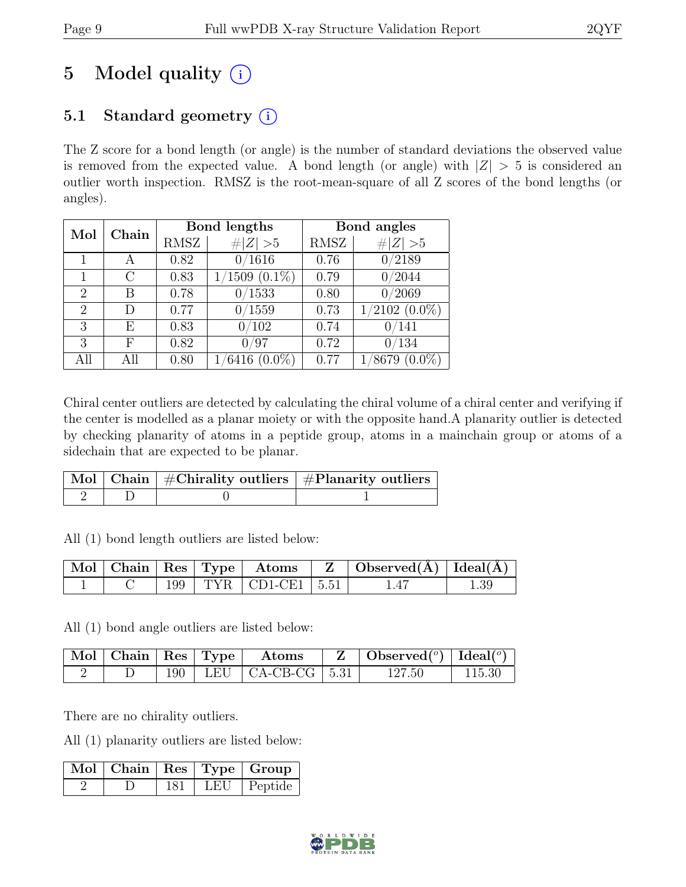# 5 Model quality  $(i)$

## 5.1 Standard geometry  $(i)$

The Z score for a bond length (or angle) is the number of standard deviations the observed value is removed from the expected value. A bond length (or angle) with  $|Z| > 5$  is considered an outlier worth inspection. RMSZ is the root-mean-square of all Z scores of the bond lengths (or angles).

| Mol            | Chain |             | <b>Bond lengths</b> |             | Bond angles                  |  |  |
|----------------|-------|-------------|---------------------|-------------|------------------------------|--|--|
|                |       | <b>RMSZ</b> | # $ Z  > 5$         | <b>RMSZ</b> | $\ Z\  > 5$                  |  |  |
|                | А     | 0.82        | 0/1616              | 0.76        | $\overline{0}/2189$          |  |  |
|                | С     | 0.83        | $(1509(0.1\%)$      | 0.79        | 0/2044                       |  |  |
| $\overline{2}$ | В     | 0.78        | 0/1533              | 0.80        | 0/2069                       |  |  |
| $\overline{2}$ | D     | 0.77        | 0/1559              | 0.73        | $1/2102$ $(0.0\%)$           |  |  |
| 3              | E     | 0.83        | 0/102               | 0.74        | 0/141                        |  |  |
| 3              | F     | 0.82        | /97<br>0            | 0.72        | 0/134                        |  |  |
| All            |       | 0.80        | $(0.0\%)$<br>6416   | 0.77        | $(0.0\%)$<br>$^{\prime}8679$ |  |  |

Chiral center outliers are detected by calculating the chiral volume of a chiral center and verifying if the center is modelled as a planar moiety or with the opposite hand.A planarity outlier is detected by checking planarity of atoms in a peptide group, atoms in a mainchain group or atoms of a sidechain that are expected to be planar.

|  | $\lceil \!\! \begin{array}{c c} \hline \text{Mol} \end{array} \!\! \rceil$ Chain $\mid \#\text{Chirality outliers} \mid \#\text{Planarity outliers} \mid$ |
|--|-----------------------------------------------------------------------------------------------------------------------------------------------------------|
|  |                                                                                                                                                           |

All (1) bond length outliers are listed below:

|  |  |                            | $\mid$ Mol $\mid$ Chain $\mid$ Res $\mid$ Type $\mid$ Atoms $\mid$ Z $\mid$ Observed(A) $\mid$ Ideal(A) $\mid$ |  |
|--|--|----------------------------|----------------------------------------------------------------------------------------------------------------|--|
|  |  | 199   TYR   CD1-CE1   5.51 | 1.47                                                                                                           |  |

All (1) bond angle outliers are listed below:

|  |  | $\mid$ Mol $\mid$ Chain $\mid$ Res $\mid$ Type $\mid$ Atoms | $\mathbf{Z}$   Observed( $^o$ )   Ideal( $^o$ ) |        |
|--|--|-------------------------------------------------------------|-------------------------------------------------|--------|
|  |  | 190   LEU   CA-CB-CG   5.31                                 | 127.50                                          | 115.30 |

There are no chirality outliers.

All (1) planarity outliers are listed below:

|  |     | Mol   Chain   Res   Type   Group |
|--|-----|----------------------------------|
|  | 181 | LEU   Peptide                    |

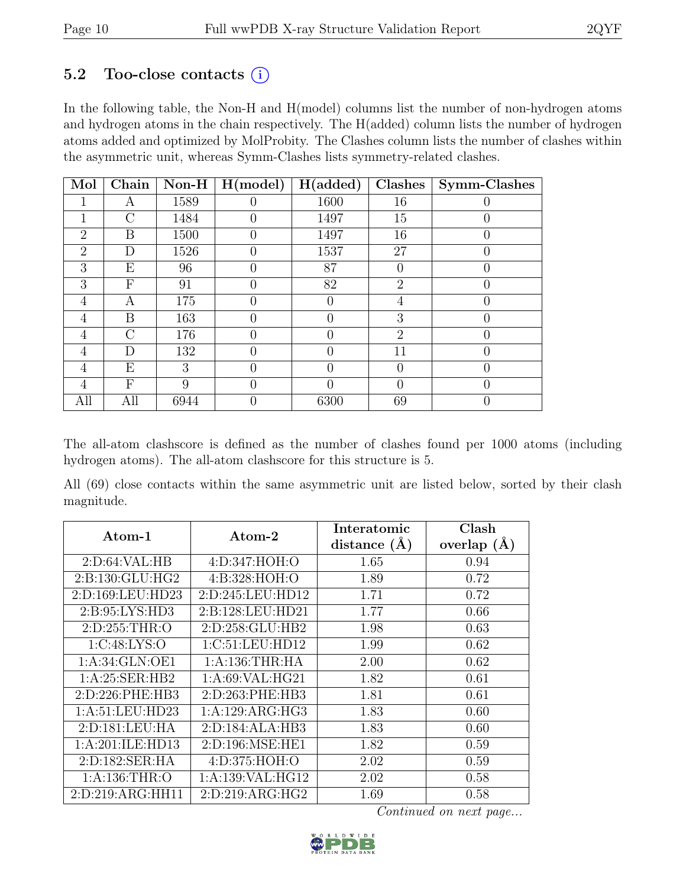### 5.2 Too-close contacts  $(i)$

In the following table, the Non-H and H(model) columns list the number of non-hydrogen atoms and hydrogen atoms in the chain respectively. The H(added) column lists the number of hydrogen atoms added and optimized by MolProbity. The Clashes column lists the number of clashes within the asymmetric unit, whereas Symm-Clashes lists symmetry-related clashes.

| Mol            | Chain          | $Non-H$ | H (model)        | H(added) | Clashes        | Symm-Clashes     |
|----------------|----------------|---------|------------------|----------|----------------|------------------|
| 1              | А              | 1589    | 0                | 1600     | 16             |                  |
| 1              | $\overline{C}$ | 1484    | 0                | 1497     | 15             |                  |
| $\overline{2}$ | Β              | 1500    | $\left( \right)$ | 1497     | 16             |                  |
| $\overline{2}$ | D              | 1526    | 0                | 1537     | 27             | $\left( \right)$ |
| 3              | Ε              | 96      | 0                | 87       | $\theta$       |                  |
| 3              | F              | 91      | 0                | 82       | $\overline{2}$ |                  |
| 4              | А              | 175     | 0                | 0        | 4              |                  |
| 4              | Β              | 163     |                  |          | 3              |                  |
| 4              | $\mathcal{C}$  | 176     | 0                | 0        | $\overline{2}$ | $\left( \right)$ |
| 4              | D              | 132     | 0                | 0        | 11             |                  |
| 4              | Ε              | 3       |                  |          | $\theta$       |                  |
| 4              | F              | 9       | 0                | 0        | $\theta$       | 0                |
| All            | All            | 6944    |                  | 6300     | 69             |                  |

The all-atom clashscore is defined as the number of clashes found per 1000 atoms (including hydrogen atoms). The all-atom clashscore for this structure is 5.

All (69) close contacts within the same asymmetric unit are listed below, sorted by their clash magnitude.

| Atom-1               | Atom-2               | Interatomic    | Clash         |
|----------------------|----------------------|----------------|---------------|
|                      |                      | distance $(A)$ | overlap $(A)$ |
| 2: D:64: VAL:HB      | 4:D:347:HOH:O        | 1.65           | 0.94          |
| 2:B:130:GLU:HG2      | 4: B: 328: HOH:O     | 1.89           | 0.72          |
| 2:D:169:LEU:HD23     | 2: D: 245: LEU: HD12 | 1.71           | 0.72          |
| 2:B:95:LYS:HD3       | 2:B:128:LEU:HD21     | 1.77           | 0.66          |
| 2:D:255:THR:O        | 2:D:258:GLU:HB2      | 1.98           | 0.63          |
| 1:C:48:LYS:O         | 1:C:51:LEU:HD12      | 1.99           | 0.62          |
| 1:A:34:GLN:OE1       | 1: A:136:THR:HA      | 2.00           | 0.62          |
| 1:A:25:SER:HB2       | 1: A:69: VAL: HG21   | 1.82           | 0.61          |
| 2:D:226:PHE:HB3      | 2:D:263:PHE:HB3      | 1.81           | 0.61          |
| 1:A:51:LEU:HD23      | 1:A:129:ARG:HG3      | 1.83           | 0.60          |
| 2:D:181:LEU:HA       | 2:D:184:ALA:HB3      | 1.83           | 0.60          |
| 1:A:201:ILE:HD13     | 2:D:196:MSE:HE1      | 1.82           | 0.59          |
| 2:D:182:SER:HA       | 4:D:375:HOH:O        | 2.02           | 0.59          |
| 1: A:136:THR:O       | 1: A: 139: VAL: HG12 | 2.02           | 0.58          |
| 2: D: 219: ARG: HH11 | 2: D: 219: ARG: HG2  | 1.69           | 0.58          |

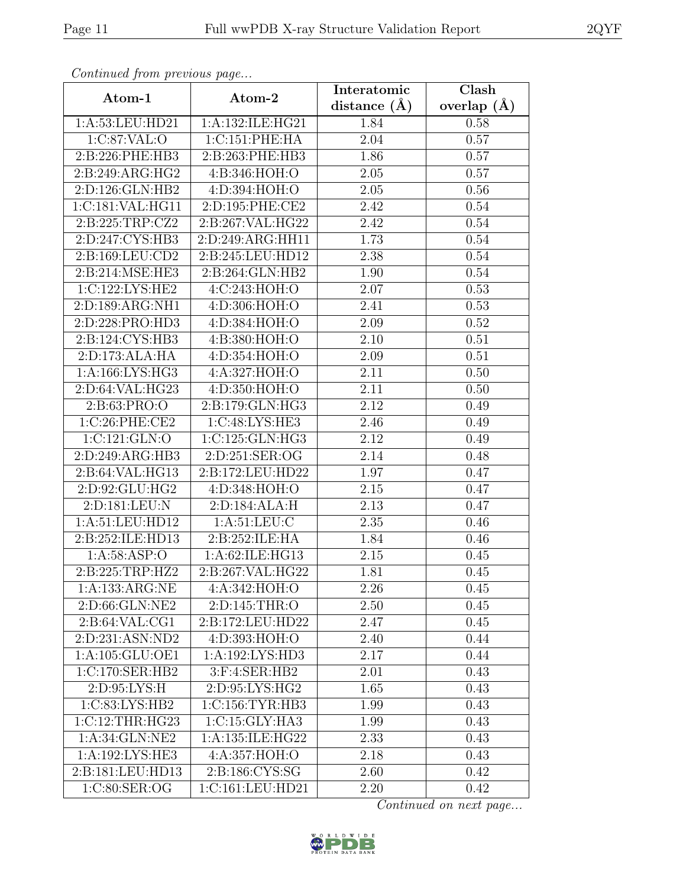| Continued from previous page       |                              | Interatomic       | $\overline{\text{Clash}}$ |  |
|------------------------------------|------------------------------|-------------------|---------------------------|--|
| Atom-1                             | Atom-2                       | distance $(A)$    | overlap $(A)$             |  |
| 1:A:53:LEU:HD21                    | 1:A:132:ILE:HG21             | 1.84              | 0.58                      |  |
| 1:C:87:VAL:O                       | 1:C:151:PHE:HA               | 2.04              | 0.57                      |  |
| 2:B:226:PHE:HB3                    | 2:B:263:PHE:HB3              | 1.86              | 0.57                      |  |
| 2:B:249:ARG:HG2                    | 4:B:346:HOH:O                | 2.05              | 0.57                      |  |
| 2:D:126:GLN:HB2                    | 4:D:394:HOH:O                | 2.05              | 0.56                      |  |
| 1:C:181:VAL:HG11                   | 2:D:195:PHE:CE2              | 2.42              | 0.54                      |  |
| 2:B:225:TRP:CZ2                    | 2:B:267:VAL:HG22             | 2.42              | 0.54                      |  |
| 2:D:247:CYS:HB3                    | 2:D:249:ARG:HH11             | 1.73              | 0.54                      |  |
| 2:B:169:LEU:CD2                    | 2:B:245:LEU:HD12             | 2.38              | 0.54                      |  |
| 2:B:214:MSE:HE3                    | 2:B:264:GLN:HB2              | 1.90              | 0.54                      |  |
| 1:C:122:LYS:HE2                    | 4:C:243:HOH:O                | 2.07              | 0.53                      |  |
| 2:D:189:ARG:NH1                    | 4:D:306:HOH:O                | 2.41              | 0.53                      |  |
| 2:D:228:PRO:HD3                    | 4:D:384:HOH:O                | 2.09              | 0.52                      |  |
| 2:B:124:CYS:HB3                    | 4:B:380:HOH:O                | 2.10              | 0.51                      |  |
| 2:D:173:ALA:HA                     | 4:D:354:HOH:O                | 2.09              | 0.51                      |  |
| 1: A: 166: LYS: HG3                | 4:A:327:HOH:O                | 2.11              | 0.50                      |  |
| 2:D:64:VAL:HG23                    | 4:D:350:HOH:O                | $\overline{2.11}$ | 0.50                      |  |
| 2:B:63:PRO:O                       | 2:B:179:GLN:HG3              | 2.12              | 0.49                      |  |
| 1:C:26:PHE:CE2                     | 1:C:48:LYS:HE3               | 2.46              | 0.49                      |  |
| 1:C:121:GLN:O                      | 1:C:125:GLN:HG3              | 2.12              | 0.49                      |  |
| 2:D:249:ARG:HB3                    | 2:D:251:SER:OG               | 2.14              | 0.48                      |  |
| 2:B:64:VAL:HG13                    | 2:B:172:LEU:HD22             | 1.97              | 0.47                      |  |
| 2:D:92:GLU:HG2                     | 4:D:348:HOH:O                | 2.15              | 0.47                      |  |
| 2:D:181:LEU:N                      | 2:D:184:ALA:H                | $\overline{2}.13$ | 0.47                      |  |
| 1:A:51:LEU:HD12                    | 1: A:51: LEU: C              | 2.35              | 0.46                      |  |
| 2:B:252:ILE:HD13                   | 2:B:252:ILE:HA               | 1.84              | 0.46                      |  |
| 1: A:58: ASP:O                     | 1:A:62:ILE:HG13              | 2.15              | 0.45                      |  |
| 2:B:225:TRP:HZ2                    | 2:B:267:VAL:HG22             | 1.81              | 0.45                      |  |
| $1:A:133:ARG:\overline{\text{NE}}$ | 4:A:342:HOH:O                | 2.26              | 0.45                      |  |
| 2:D:66:GLN:NE2                     | 2:D:145:THR:O                | 2.50              | 0.45                      |  |
| 2:B:64:VAL:CG1                     | 2:B:172:LEU:HD22             | 2.47              | 0.45                      |  |
| 2:D:231:ASN:ND2                    | 4:D:393:HOH:O                | 2.40              | 0.44                      |  |
| 1: A: 105: GLU: OE1                | $1:A:192:LY\overline{S:HD3}$ | 2.17              | 0.44                      |  |
| 1:C:170:SER:HB2                    | 3:F:4:SER:HB2                | 2.01              | 0.43                      |  |
| 2:D:95:LYS:H                       | 2:D:95:LYS:HG2               | 1.65              | 0.43                      |  |
| 1:C:83:LYS:HB2                     | 1:C:156:TYR:HB3              | 1.99              | 0.43                      |  |
| 1:C:12:THR:HG23                    | 1:C:15:GLY:HA3               | 1.99              | 0.43                      |  |
| 1:A:34:GLN:NE2                     | 1:A:135:ILE:HG22             | 2.33              | 0.43                      |  |
| 1:A:192:LYS:HE3                    | 4:A:357:HOH:O                | 2.18              | 0.43                      |  |
| 2:B:181:LEU:HD13                   | 2:B:186:CYS:SG               | 2.60              | 0.42                      |  |
| 1:C:80:SER:OG                      | 1:C:161:LEU:HD21             | 2.20              | 0.42                      |  |

Continued from previous page.

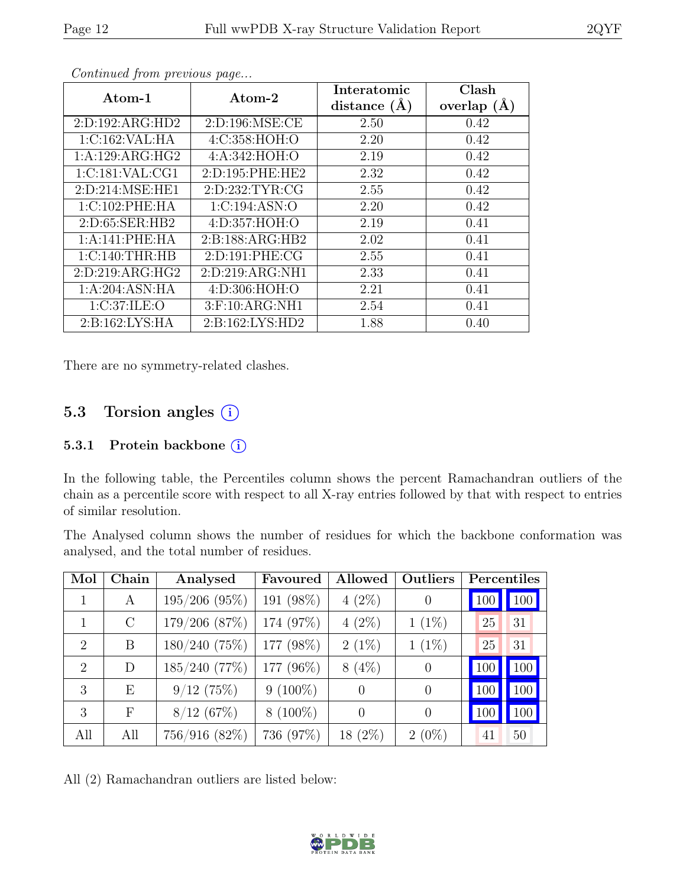| Atom-1              | Atom-2              | Interatomic<br>distance $(A)$ | Clash<br>overlap $(\AA)$ |  |  |  |
|---------------------|---------------------|-------------------------------|--------------------------|--|--|--|
| 2:D:192:ARG:HD2     | 2: D: 196: MSE: CE  | 2.50                          | 0.42                     |  |  |  |
| 1:C:162:VAL:HA      | 4:C:358:HOH:O       | 2.20                          | 0.42                     |  |  |  |
| 1:A:129:ARG:HG2     | 4: A:342: HOH:O     | 2.19                          | 0.42                     |  |  |  |
| 1:C:181:VAL:CG1     | 2: D: 195: PHE: HE2 | 2.32                          | 0.42                     |  |  |  |
| 2:D:214:MSE:HE1     | 2:D:232:TYR:CG      | 2.55                          | 0.42                     |  |  |  |
| 1:C:102:PHE:HA      | 1:C:194:ASN:O       | 2.20                          | 0.42                     |  |  |  |
| 2: D:65: SER:HB2    | 4:D:357:HOH:O       | 2.19                          | 0.41                     |  |  |  |
| 1:A:141:PHE:HA      | 2: B: 188: ARG: HB2 | 2.02                          | 0.41                     |  |  |  |
| 1:C:140:THR:HB      | 2:D:191:PHE:CG      | 2.55                          | 0.41                     |  |  |  |
| 2: D: 219: ARG: HG2 | 2:D:219:ARG:NH1     | 2.33                          | 0.41                     |  |  |  |
| 1:A:204:ASN:HA      | 4: D:306: HOH:O     | 2.21                          | 0.41                     |  |  |  |
| 1:C:37:ILE:O        | 3:F:10:ARG:NH1      | 2.54                          | 0.41                     |  |  |  |
| 2: B: 162: LYS: HA  | 2: B: 162: LYS: HD2 | 1.88                          | 0.40                     |  |  |  |

Continued from previous page...

There are no symmetry-related clashes.

### 5.3 Torsion angles  $(i)$

#### 5.3.1 Protein backbone (i)

In the following table, the Percentiles column shows the percent Ramachandran outliers of the chain as a percentile score with respect to all X-ray entries followed by that with respect to entries of similar resolution.

The Analysed column shows the number of residues for which the backbone conformation was analysed, and the total number of residues.

| Mol                         | Chain      | Analysed        | Favoured   | Allowed          | Outliers |     | Percentiles |
|-----------------------------|------------|-----------------|------------|------------------|----------|-----|-------------|
| 1                           | A          | $195/206$ (95%) | 191 (98%)  | $4(2\%)$         | $\theta$ | 100 | 100         |
|                             | $\rm C$    | 179/206 (87%)   | 174 (97%)  | $4(2\%)$         | $1(1\%)$ | 25  | 31          |
| $\overline{2}$              | B          | 180/240(75%)    | 177 (98%)  | $2(1\%)$         | $1(1\%)$ | 25  | 31          |
| $\mathcal{D}_{\mathcal{A}}$ | D          | 185/240 (77%)   | 177 (96%)  | $8(4\%)$         | $\theta$ | 100 | <b>100</b>  |
| 3                           | E          | 9/12(75%)       | $9(100\%)$ | $\left( \right)$ | $\theta$ | 100 | 100         |
| 3                           | $_{\rm F}$ | 8/12(67%)       | $8(100\%)$ | $\Omega$         | $\theta$ | 100 | 100         |
| All                         | All        | 756/916 (82%)   | 736 (97%)  | $18(2\%)$        | $2(0\%)$ | 41  | 50          |

All (2) Ramachandran outliers are listed below:

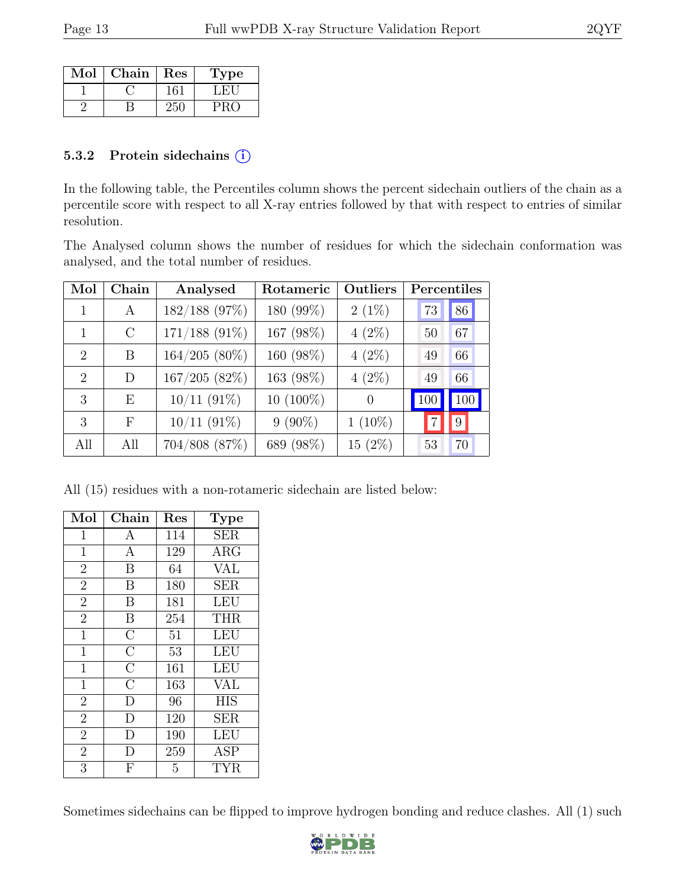| Mol | Chain | Res | l'ype |
|-----|-------|-----|-------|
|     |       |     |       |
|     |       |     |       |

#### 5.3.2 Protein sidechains (i)

In the following table, the Percentiles column shows the percent sidechain outliers of the chain as a percentile score with respect to all X-ray entries followed by that with respect to entries of similar resolution.

The Analysed column shows the number of residues for which the sidechain conformation was analysed, and the total number of residues.

| Mol                         | Chain      | Analysed        | Rotameric   | Outliers  | Percentiles |
|-----------------------------|------------|-----------------|-------------|-----------|-------------|
|                             | А          | 182/188 (97%)   | 180 (99%)   | $2(1\%)$  | 86<br>73    |
|                             | $\rm C$    | $171/188$ (91%) | 167 (98%)   | $4(2\%)$  | 67<br>50    |
| $\mathcal{D}_{\mathcal{L}}$ | B          | $164/205(80\%)$ | 160 (98%)   | $4(2\%)$  | 49<br>66    |
| $\mathcal{D}_{\mathcal{L}}$ | D          | 167/205(82%)    | 163 (98%)   | $4(2\%)$  | 66<br>49    |
| 3                           | E          | $10/11$ (91%)   | $10(100\%)$ | $\Omega$  | 100<br>100  |
| 3                           | $_{\rm F}$ | $10/11$ (91%)   | $9(90\%)$   | $1(10\%)$ | 9           |
| All                         | All        | 704/808 (87%)   | 689 (98%)   | $15(2\%)$ | 53<br>70    |

All (15) residues with a non-rotameric sidechain are listed below:

| Mol            | Chain              | Res | Type       |
|----------------|--------------------|-----|------------|
| $\mathbf{1}$   | A                  | 114 | <b>SER</b> |
| $\mathbf{1}$   | $\mathbf{A}$       | 129 | ARG        |
| $\overline{2}$ | B                  | 64  | VAL        |
| $\overline{2}$ | $\boldsymbol{B}$   | 180 | <b>SER</b> |
| $\overline{2}$ | B                  | 181 | <b>LEU</b> |
| $\overline{2}$ | B                  | 254 | THR        |
| $\mathbf{1}$   | $\overline{\rm C}$ | 51  | <b>LEU</b> |
| $\mathbf{1}$   | $\overline{\rm C}$ | 53  | <b>LEU</b> |
| $\overline{1}$ | $\overline{\rm C}$ | 161 | LEU        |
| $\overline{1}$ | $\overline{\rm C}$ | 163 | <b>VAL</b> |
| $\overline{2}$ | D                  | 96  | <b>HIS</b> |
| $\overline{2}$ | D                  | 120 | <b>SER</b> |
| $\overline{2}$ | D                  | 190 | LEU        |
| $\sqrt{2}$     | D                  | 259 | <b>ASP</b> |
| $\overline{3}$ | F                  | 5   | TYR        |

Sometimes sidechains can be flipped to improve hydrogen bonding and reduce clashes. All (1) such

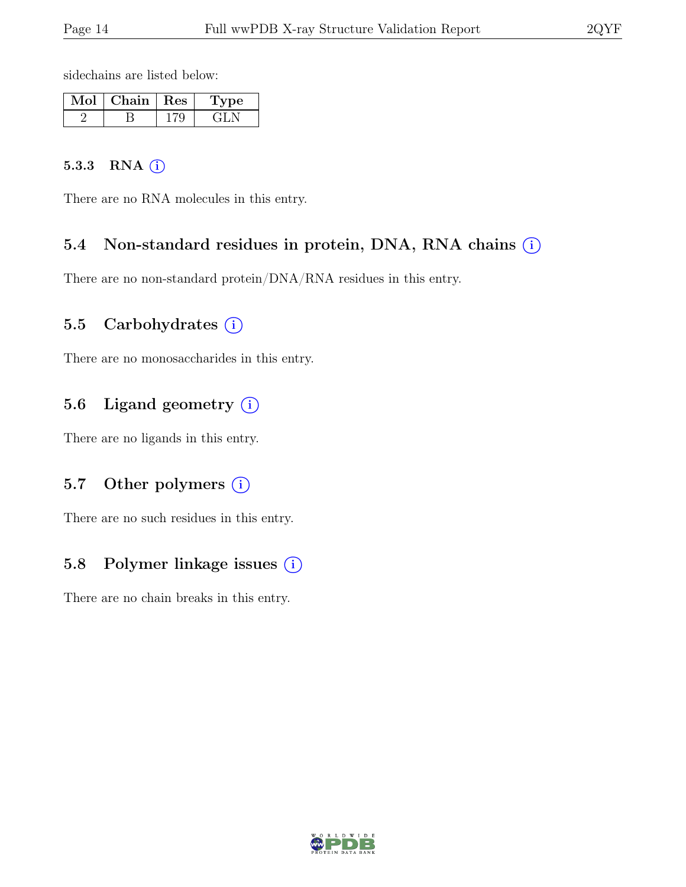sidechains are listed below:

| $Mol$   Chain   Res | vpe |
|---------------------|-----|
|                     |     |

#### 5.3.3 RNA  $(i)$

There are no RNA molecules in this entry.

#### 5.4 Non-standard residues in protein, DNA, RNA chains (i)

There are no non-standard protein/DNA/RNA residues in this entry.

#### 5.5 Carbohydrates  $(i)$

There are no monosaccharides in this entry.

#### 5.6 Ligand geometry (i)

There are no ligands in this entry.

#### 5.7 Other polymers (i)

There are no such residues in this entry.

#### 5.8 Polymer linkage issues (i)

There are no chain breaks in this entry.

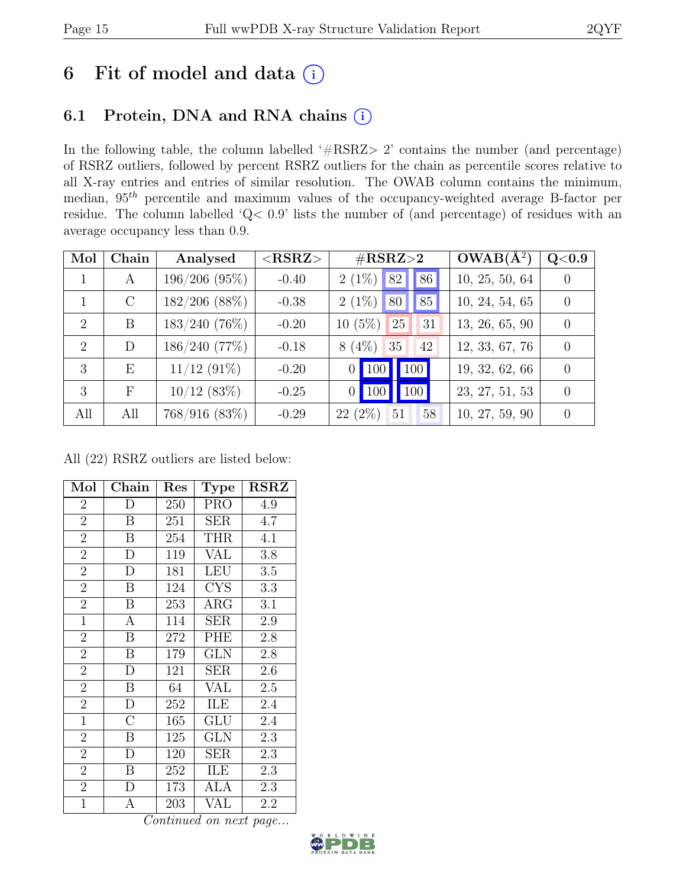# 6 Fit of model and data  $(i)$

### 6.1 Protein, DNA and RNA chains (i)

In the following table, the column labelled ' $\#\text{RSRZ}>2$ ' contains the number (and percentage) of RSRZ outliers, followed by percent RSRZ outliers for the chain as percentile scores relative to all X-ray entries and entries of similar resolution. The OWAB column contains the minimum, median,  $95<sup>th</sup>$  percentile and maximum values of the occupancy-weighted average B-factor per residue. The column labelled 'Q< 0.9' lists the number of (and percentage) of residues with an average occupancy less than 0.9.

| Mol           | Chain         | Analysed           | $<$ RSRZ $>$ | $\#\text{RSRZ}\text{>2}$                       | $OWAB(A^2)$    | $Q<\!\!0.9$      |
|---------------|---------------|--------------------|--------------|------------------------------------------------|----------------|------------------|
|               | A             | $196/206$ $(95\%)$ | $-0.40$      | 86<br>82<br>$2(1\%)$                           | 10, 25, 50, 64 |                  |
|               | $\mathcal{C}$ | $182/206$ (88%)    | $-0.38$      | $2(1\%)$<br>85<br>80                           | 10, 24, 54, 65 | $\Omega$         |
| $\mathcal{D}$ | B             | $183/240(76\%)$    | $-0.20$      | $10(5\%)$<br>25<br>31                          | 13, 26, 65, 90 | $\left( \right)$ |
| 2             | D             | 186/240(77%)       | $-0.18$      | $8(4\%)$<br>35<br>42                           | 12, 33, 67, 76 | $\left( \right)$ |
| 3             | E             | $11/12$ (91\%)     | $-0.20$      | $\vert$ 100<br>$\vert$ 100 $\vert$<br>$\Omega$ | 19, 32, 62, 66 | $\Omega$         |
| 3             | F             | $10/12$ (83\%)     | $-0.25$      | 100<br>$\blacksquare$ 100<br>$\overline{0}$    | 23, 27, 51, 53 | $\Omega$         |
| All           | All           | 768/916(83%)       | $-0.29$      | $22(2\%)$<br>51<br>58                          | 10, 27, 59, 90 | $\left( \right)$ |

All (22) RSRZ outliers are listed below:

| Mol            | Chain            | Res | <b>Type</b> | <b>RSRZ</b> |
|----------------|------------------|-----|-------------|-------------|
| $\overline{2}$ | D                | 250 | <b>PRO</b>  | 4.9         |
| $\overline{2}$ | $\boldsymbol{B}$ | 251 | <b>SER</b>  | 4.7         |
| $\overline{2}$ | B                | 254 | THR         | 4.1         |
| $\overline{2}$ | D                | 119 | VAL         | 3.8         |
| $\overline{2}$ | $\overline{D}$   | 181 | <b>LEU</b>  | 3.5         |
| $\overline{2}$ | B                | 124 | <b>CYS</b>  | 3.3         |
| $\overline{2}$ | B                | 253 | $\rm{ARG}$  | 3.1         |
| $\mathbf{1}$   | A                | 114 | <b>SER</b>  | 2.9         |
| $\overline{2}$ | B                | 272 | PHE         | 2.8         |
| $\overline{2}$ | B                | 179 | <b>GLN</b>  | 2.8         |
| $\overline{2}$ | D                | 121 | SER         | 2.6         |
| $\overline{2}$ | $\overline{B}$   | 64  | VAL         | 2.5         |
| $\overline{2}$ | $\overline{D}$   | 252 | ILE         | 2.4         |
| $\mathbf{1}$   | $\overline{C}$   | 165 | GLU         | 2.4         |
| $\overline{2}$ | B                | 125 | <b>GLN</b>  | 2.3         |
| $\overline{2}$ | D                | 120 | SER         | 2.3         |
| $\overline{2}$ | B                | 252 | ILE         | 2.3         |
| $\overline{2}$ | D                | 173 | ALA         | 2.3         |
| $\overline{1}$ | A                | 203 | VAL         | 2.2         |